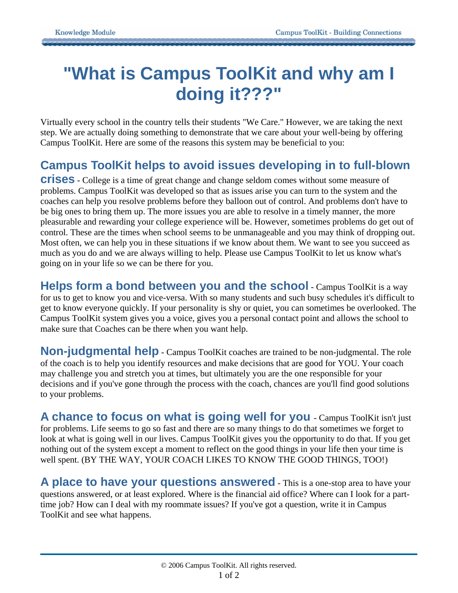## **"What is Campus ToolKit and why am I doing it???"**

Virtually every school in the country tells their students "We Care." However, we are taking the next step. We are actually doing something to demonstrate that we care about your well-being by offering Campus ToolKit. Here are some of the reasons this system may be beneficial to you:

## **Campus ToolKit helps to avoid issues developing in to full-blown**

**crises** - College is a time of great change and change seldom comes without some measure of problems. Campus ToolKit was developed so that as issues arise you can turn to the system and the coaches can help you resolve problems before they balloon out of control. And problems don't have to be big ones to bring them up. The more issues you are able to resolve in a timely manner, the more pleasurable and rewarding your college experience will be. However, sometimes problems do get out of control. These are the times when school seems to be unmanageable and you may think of dropping out. Most often, we can help you in these situations if we know about them. We want to see you succeed as much as you do and we are always willing to help. Please use Campus ToolKit to let us know what's going on in your life so we can be there for you.

**Helps form a bond between you and the school** - Campus ToolKit is a way for us to get to know you and vice-versa. With so many students and such busy schedules it's difficult to get to know everyone quickly. If your personality is shy or quiet, you can sometimes be overlooked. The Campus ToolKit system gives you a voice, gives you a personal contact point and allows the school to make sure that Coaches can be there when you want help.

**Non-judgmental help** - Campus ToolKit coaches are trained to be non-judgmental. The role of the coach is to help you identify resources and make decisions that are good for YOU. Your coach may challenge you and stretch you at times, but ultimately you are the one responsible for your decisions and if you've gone through the process with the coach, chances are you'll find good solutions to your problems.

**A chance to focus on what is going well for you** - Campus ToolKit isn't just for problems. Life seems to go so fast and there are so many things to do that sometimes we forget to look at what is going well in our lives. Campus ToolKit gives you the opportunity to do that. If you get nothing out of the system except a moment to reflect on the good things in your life then your time is well spent. (BY THE WAY, YOUR COACH LIKES TO KNOW THE GOOD THINGS, TOO!)

**A place to have your questions answered** - This is a one-stop area to have your questions answered, or at least explored. Where is the financial aid office? Where can I look for a parttime job? How can I deal with my roommate issues? If you've got a question, write it in Campus ToolKit and see what happens.